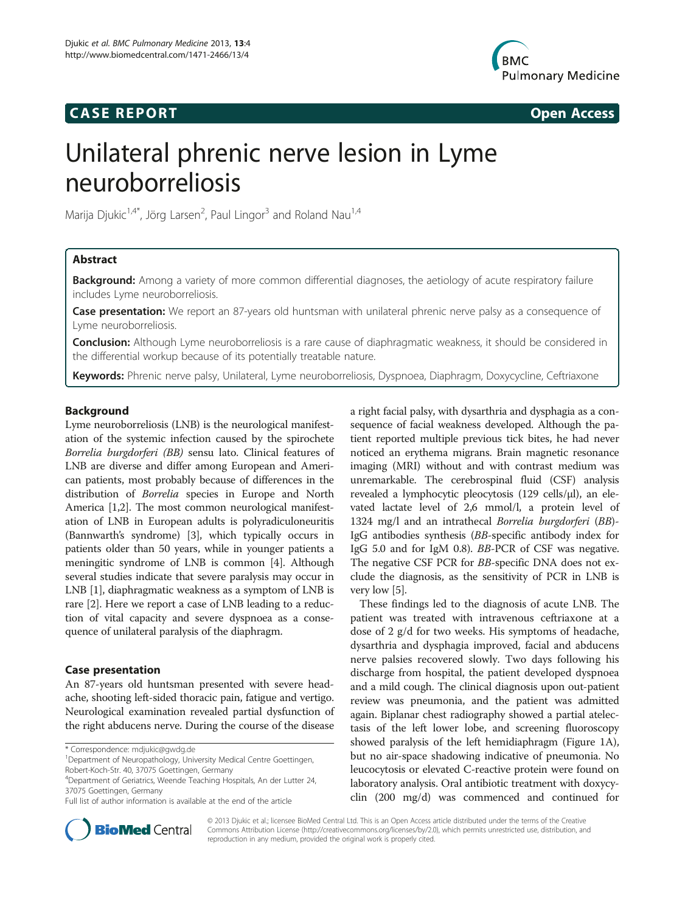## **CASE REPORT CASE REPORT**



# Unilateral phrenic nerve lesion in Lyme neuroborreliosis

Marija Djukic<sup>1,4\*</sup>, Jörg Larsen<sup>2</sup>, Paul Lingor<sup>3</sup> and Roland Nau<sup>1,4</sup>

## Abstract

**Background:** Among a variety of more common differential diagnoses, the aetiology of acute respiratory failure includes Lyme neuroborreliosis.

Case presentation: We report an 87-years old huntsman with unilateral phrenic nerve palsy as a consequence of Lyme neuroborreliosis.

**Conclusion:** Although Lyme neuroborreliosis is a rare cause of diaphragmatic weakness, it should be considered in the differential workup because of its potentially treatable nature.

Keywords: Phrenic nerve palsy, Unilateral, Lyme neuroborreliosis, Dyspnoea, Diaphragm, Doxycycline, Ceftriaxone

## Background

Lyme neuroborreliosis (LNB) is the neurological manifestation of the systemic infection caused by the spirochete Borrelia burgdorferi (BB) sensu lato. Clinical features of LNB are diverse and differ among European and American patients, most probably because of differences in the distribution of Borrelia species in Europe and North America [\[1,2](#page-2-0)]. The most common neurological manifestation of LNB in European adults is polyradiculoneuritis (Bannwarth's syndrome) [[3\]](#page-2-0), which typically occurs in patients older than 50 years, while in younger patients a meningitic syndrome of LNB is common [\[4](#page-2-0)]. Although several studies indicate that severe paralysis may occur in LNB [\[1](#page-2-0)], diaphragmatic weakness as a symptom of LNB is rare [[2](#page-2-0)]. Here we report a case of LNB leading to a reduction of vital capacity and severe dyspnoea as a consequence of unilateral paralysis of the diaphragm.

## Case presentation

An 87-years old huntsman presented with severe headache, shooting left-sided thoracic pain, fatigue and vertigo. Neurological examination revealed partial dysfunction of the right abducens nerve. During the course of the disease

a right facial palsy, with dysarthria and dysphagia as a consequence of facial weakness developed. Although the patient reported multiple previous tick bites, he had never noticed an erythema migrans. Brain magnetic resonance imaging (MRI) without and with contrast medium was unremarkable. The cerebrospinal fluid (CSF) analysis revealed a lymphocytic pleocytosis (129 cells/μl), an elevated lactate level of 2,6 mmol/l, a protein level of 1324 mg/l and an intrathecal Borrelia burgdorferi (BB)-IgG antibodies synthesis (BB-specific antibody index for IgG 5.0 and for IgM 0.8). BB-PCR of CSF was negative. The negative CSF PCR for BB-specific DNA does not exclude the diagnosis, as the sensitivity of PCR in LNB is very low [\[5\]](#page-2-0).

These findings led to the diagnosis of acute LNB. The patient was treated with intravenous ceftriaxone at a dose of 2 g/d for two weeks. His symptoms of headache, dysarthria and dysphagia improved, facial and abducens nerve palsies recovered slowly. Two days following his discharge from hospital, the patient developed dyspnoea and a mild cough. The clinical diagnosis upon out-patient review was pneumonia, and the patient was admitted again. Biplanar chest radiography showed a partial atelectasis of the left lower lobe, and screening fluoroscopy showed paralysis of the left hemidiaphragm (Figure [1A](#page-1-0)), but no air-space shadowing indicative of pneumonia. No leucocytosis or elevated C-reactive protein were found on laboratory analysis. Oral antibiotic treatment with doxycyclin (200 mg/d) was commenced and continued for



© 2013 Djukic et al.; licensee BioMed Central Ltd. This is an Open Access article distributed under the terms of the Creative Commons Attribution License [\(http://creativecommons.org/licenses/by/2.0\)](http://creativecommons.org/licenses/by/2.0), which permits unrestricted use, distribution, and reproduction in any medium, provided the original work is properly cited.

<sup>\*</sup> Correspondence: [mdjukic@gwdg.de](mailto:mdjukic@gwdg.de) <sup>1</sup>

<sup>&</sup>lt;sup>1</sup>Department of Neuropathology, University Medical Centre Goettingen, Robert-Koch-Str. 40, 37075 Goettingen, Germany

<sup>4</sup> Department of Geriatrics, Weende Teaching Hospitals, An der Lutter 24, 37075 Goettingen, Germany

Full list of author information is available at the end of the article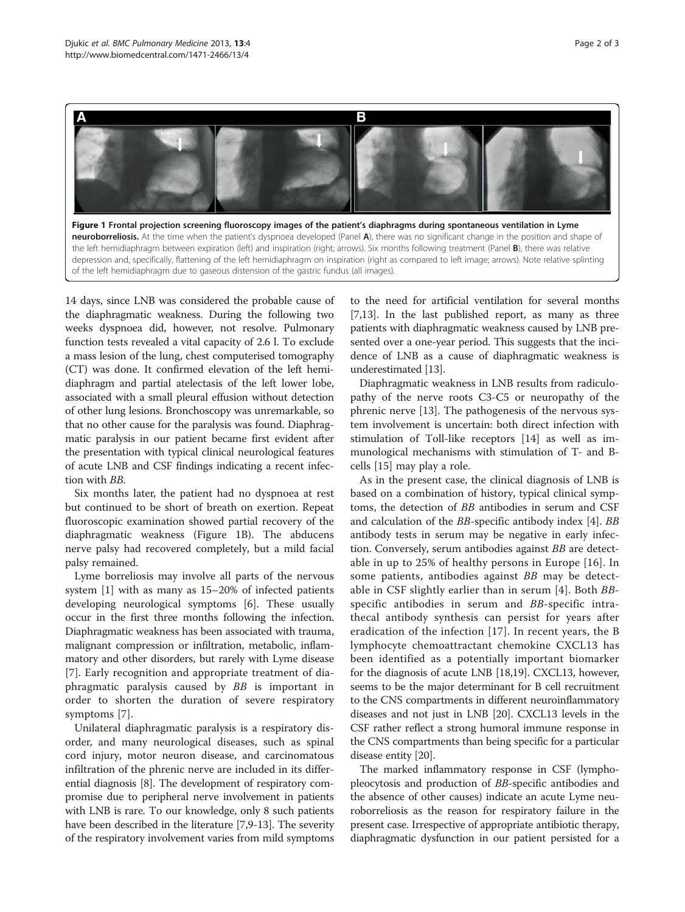<span id="page-1-0"></span>

of the left hemidiaphragm due to gaseous distension of the gastric fundus (all images).

14 days, since LNB was considered the probable cause of the diaphragmatic weakness. During the following two weeks dyspnoea did, however, not resolve. Pulmonary function tests revealed a vital capacity of 2.6 l. To exclude a mass lesion of the lung, chest computerised tomography (CT) was done. It confirmed elevation of the left hemidiaphragm and partial atelectasis of the left lower lobe, associated with a small pleural effusion without detection of other lung lesions. Bronchoscopy was unremarkable, so that no other cause for the paralysis was found. Diaphragmatic paralysis in our patient became first evident after the presentation with typical clinical neurological features of acute LNB and CSF findings indicating a recent infection with BB.

Six months later, the patient had no dyspnoea at rest but continued to be short of breath on exertion. Repeat fluoroscopic examination showed partial recovery of the diaphragmatic weakness (Figure 1B). The abducens nerve palsy had recovered completely, but a mild facial palsy remained.

Lyme borreliosis may involve all parts of the nervous system [\[1](#page-2-0)] with as many as 15–20% of infected patients developing neurological symptoms [\[6\]](#page-2-0). These usually occur in the first three months following the infection. Diaphragmatic weakness has been associated with trauma, malignant compression or infiltration, metabolic, inflammatory and other disorders, but rarely with Lyme disease [[7](#page-2-0)]. Early recognition and appropriate treatment of diaphragmatic paralysis caused by BB is important in order to shorten the duration of severe respiratory symptoms [\[7](#page-2-0)].

Unilateral diaphragmatic paralysis is a respiratory disorder, and many neurological diseases, such as spinal cord injury, motor neuron disease, and carcinomatous infiltration of the phrenic nerve are included in its differential diagnosis [[8\]](#page-2-0). The development of respiratory compromise due to peripheral nerve involvement in patients with LNB is rare. To our knowledge, only 8 such patients have been described in the literature [[7,9-13](#page-2-0)]. The severity of the respiratory involvement varies from mild symptoms

to the need for artificial ventilation for several months [[7,13](#page-2-0)]. In the last published report, as many as three patients with diaphragmatic weakness caused by LNB presented over a one-year period. This suggests that the incidence of LNB as a cause of diaphragmatic weakness is underestimated [\[13](#page-2-0)].

Diaphragmatic weakness in LNB results from radiculopathy of the nerve roots C3-C5 or neuropathy of the phrenic nerve [[13\]](#page-2-0). The pathogenesis of the nervous system involvement is uncertain: both direct infection with stimulation of Toll-like receptors [[14](#page-2-0)] as well as immunological mechanisms with stimulation of T- and Bcells [[15](#page-2-0)] may play a role.

As in the present case, the clinical diagnosis of LNB is based on a combination of history, typical clinical symptoms, the detection of BB antibodies in serum and CSF and calculation of the BB-specific antibody index [\[4](#page-2-0)]. BB antibody tests in serum may be negative in early infection. Conversely, serum antibodies against BB are detectable in up to 25% of healthy persons in Europe [[16](#page-2-0)]. In some patients, antibodies against BB may be detectable in CSF slightly earlier than in serum [[4\]](#page-2-0). Both BBspecific antibodies in serum and BB-specific intrathecal antibody synthesis can persist for years after eradication of the infection [[17\]](#page-2-0). In recent years, the B lymphocyte chemoattractant chemokine CXCL13 has been identified as a potentially important biomarker for the diagnosis of acute LNB [\[18,19\]](#page-2-0). CXCL13, however, seems to be the major determinant for B cell recruitment to the CNS compartments in different neuroinflammatory diseases and not just in LNB [\[20](#page-2-0)]. CXCL13 levels in the CSF rather reflect a strong humoral immune response in the CNS compartments than being specific for a particular disease entity [[20](#page-2-0)].

The marked inflammatory response in CSF (lymphopleocytosis and production of BB-specific antibodies and the absence of other causes) indicate an acute Lyme neuroborreliosis as the reason for respiratory failure in the present case. Irrespective of appropriate antibiotic therapy, diaphragmatic dysfunction in our patient persisted for a